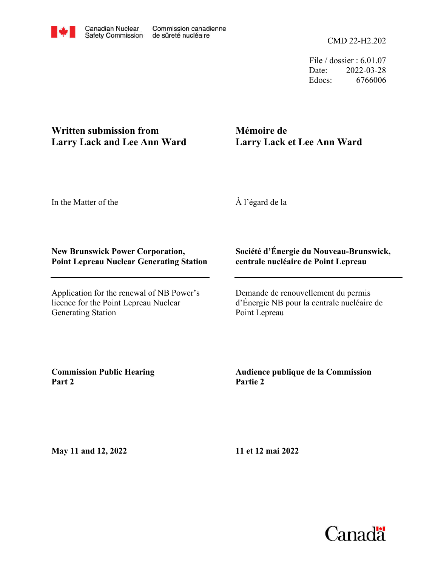File / dossier : 6.01.07 Date: 2022-03-28 Edocs: 6766006

## **Written submission from Larry Lack and Lee Ann Ward**

# **Mémoire de Larry Lack et Lee Ann Ward**

In the Matter of the

À l'égard de la

### **New Brunswick Power Corporation, Point Lepreau Nuclear Generating Station**

Application for the renewal of NB Power's licence for the Point Lepreau Nuclear Generating Station

### **Société d'Énergie du Nouveau-Brunswick, centrale nucléaire de Point Lepreau**

Demande de renouvellement du permis d'Énergie NB pour la centrale nucléaire de Point Lepreau

**Commission Public Hearing Part 2**

### **Audience publique de la Commission Partie 2**

**May 11 and 12, 2022**

**11 et 12 mai 2022**